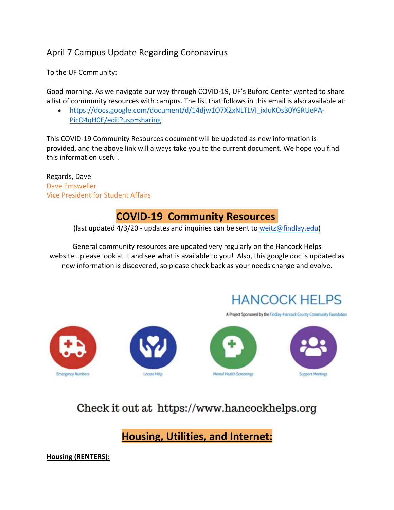# April 7 Campus Update Regarding Coronavirus

To the UF Community:

Good morning. As we navigate our way through COVID-19, UF's Buford Center wanted to share a list of community resources with campus. The list that follows in this email is also available at:

• https://docs.google.com/document/d/14djw1O7X2xNLTLVI\_ixIuKOsB0YGRUePA-PicO4qH0E/edit?usp=sharing

This COVID-19 Community Resources document will be updated as new information is provided, and the above link will always take you to the current document. We hope you find this information useful.

Regards, Dave Dave Emsweller Vice President for Student Affairs

# **COVID-19 Community Resources**

(last updated 4/3/20 - updates and inquiries can be sent to weitz@findlay.edu)

General community resources are updated very regularly on the Hancock Helps website...please look at it and see what is available to you! Also, this google doc is updated as new information is discovered, so please check back as your needs change and evolve.

# **HANCOCK HELPS**

A Project Sponsored by the Findlay-Hancock County Community Foundation







**Support Meetings** 

# Check it out at https://www.hancockhelps.org

**Housing, Utilities, and Internet:**

**Housing (RENTERS):**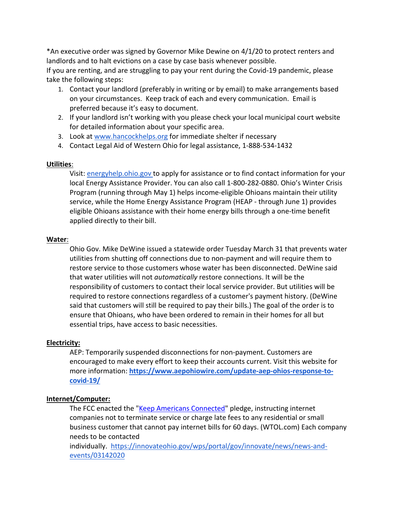\*An executive order was signed by Governor Mike Dewine on 4/1/20 to protect renters and landlords and to halt evictions on a case by case basis whenever possible.

If you are renting, and are struggling to pay your rent during the Covid-19 pandemic, please take the following steps:

- 1. Contact your landlord (preferably in writing or by email) to make arrangements based on your circumstances. Keep track of each and every communication. Email is preferred because it's easy to document.
- 2. If your landlord isn't working with you please check your local municipal court website for detailed information about your specific area.
- 3. Look at www.hancockhelps.org for immediate shelter if necessary
- 4. Contact Legal Aid of Western Ohio for legal assistance, 1-888-534-1432

### **Utilities**:

Visit: energyhelp.ohio.gov to apply for assistance or to find contact information for your local Energy Assistance Provider. You can also call 1-800-282-0880. Ohio's Winter Crisis Program (running through May 1) helps income-eligible Ohioans maintain their utility service, while the Home Energy Assistance Program (HEAP - through June 1) provides eligible Ohioans assistance with their home energy bills through a one-time benefit applied directly to their bill.

### **Water**:

Ohio Gov. Mike DeWine issued a statewide order Tuesday March 31 that prevents water utilities from shutting off connections due to non-payment and will require them to restore service to those customers whose water has been disconnected. DeWine said that water utilities will not *automatically* restore connections. It will be the responsibility of customers to contact their local service provider. But utilities will be required to restore connections regardless of a customer's payment history. (DeWine said that customers will still be required to pay their bills.) The goal of the order is to ensure that Ohioans, who have been ordered to remain in their homes for all but essential trips, have access to basic necessities.

### **Electricity:**

AEP: Temporarily suspended disconnections for non-payment. Customers are encouraged to make every effort to keep their accounts current. Visit this website for more information: **https://www.aepohiowire.com/update-aep-ohios-response-tocovid-19/**

### **Internet/Computer:**

The FCC enacted the "Keep Americans Connected" pledge, instructing internet companies not to terminate service or charge late fees to any residential or small business customer that cannot pay internet bills for 60 days. (WTOL.com) Each company needs to be contacted

individually. https://innovateohio.gov/wps/portal/gov/innovate/news/news-andevents/03142020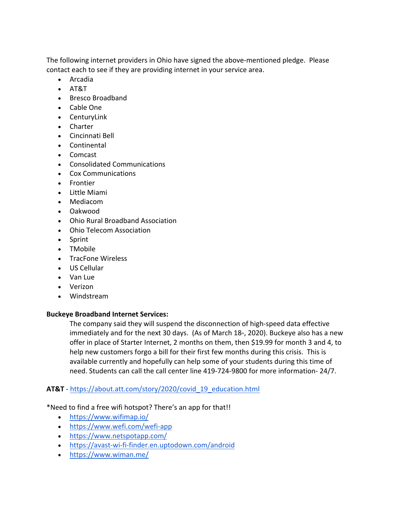The following internet providers in Ohio have signed the above-mentioned pledge. Please contact each to see if they are providing internet in your service area.

- Arcadia
- AT&T
- Bresco Broadband
- Cable One
- CenturyLink
- Charter
- Cincinnati Bell
- Continental
- Comcast
- Consolidated Communications
- Cox Communications
- Frontier
- Little Miami
- Mediacom
- Oakwood
- Ohio Rural Broadband Association
- Ohio Telecom Association
- Sprint
- TMobile
- TracFone Wireless
- US Cellular
- Van Lue
- Verizon
- Windstream

### **Buckeye Broadband Internet Services:**

The company said they will suspend the disconnection of high-speed data effective immediately and for the next 30 days. (As of March  $18<sub>th</sub>$ , 2020). Buckeye also has a new offer in place of Starter Internet, 2 months on them, then \$19.99 for month 3 and 4, to help new customers forgo a bill for their first few months during this crisis. This is available currently and hopefully can help some of your students during this time of need. Students can call the call center line 419-724-9800 for more information- 24/7.

### **AT&T** - https://about.att.com/story/2020/covid\_19\_education.html

\*Need to find a free wifi hotspot? There's an app for that!!

- https://www.wifimap.io/
- https://www.wefi.com/wefi-app
- https://www.netspotapp.com/
- https://avast-wi-fi-finder.en.uptodown.com/android
- https://www.wiman.me/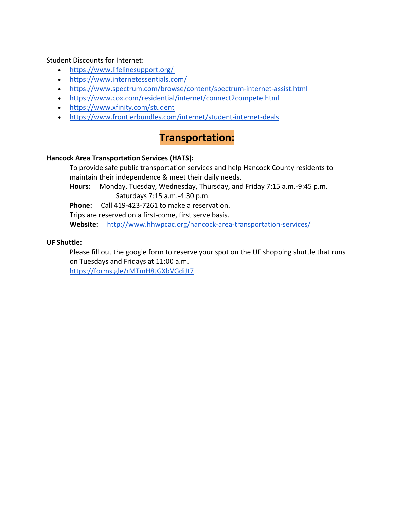### Student Discounts for Internet:

- https://www.lifelinesupport.org/
- https://www.internetessentials.com/
- https://www.spectrum.com/browse/content/spectrum-internet-assist.html
- https://www.cox.com/residential/internet/connect2compete.html
- https://www.xfinity.com/student
- https://www.frontierbundles.com/internet/student-internet-deals

# **Transportation:**

### **Hancock Area Transportation Services (HATS):**

To provide safe public transportation services and help Hancock County residents to maintain their independence & meet their daily needs.

**Hours:** Monday, Tuesday, Wednesday, Thursday, and Friday 7:15 a.m.-9:45 p.m. Saturdays 7:15 a.m.-4:30 p.m.

**Phone:** Call 419-423-7261 to make a reservation.

Trips are reserved on a first-come, first serve basis.

**Website:** http://www.hhwpcac.org/hancock-area-transportation-services/

### **UF Shuttle:**

Please fill out the google form to reserve your spot on the UF shopping shuttle that runs on Tuesdays and Fridays at 11:00 a.m.

https://forms.gle/rMTmH8JGXbVGdiJt7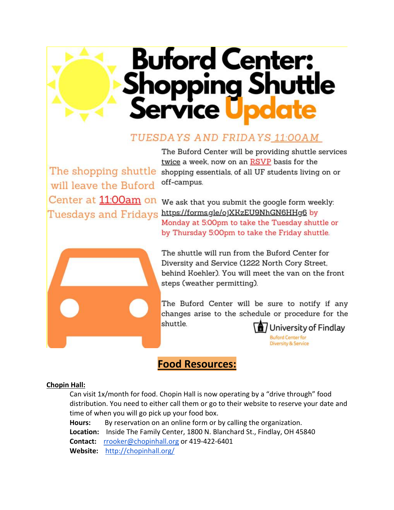# Buford Center:<br>Shopping Shuttle<br>Service Update

# TUESDAYS AND FRIDAYS 11:00AM

The shopping shuttle will leave the Buford **Tuesdays and Fridays** 

The Buford Center will be providing shuttle services twice a week, now on an RSVP basis for the shopping essentials, of all UF students living on or off-campus.

Center at 11:00am on We ask that you submit the google form weekly: https://forms.gle/ojXKzEU9NhGN6HHg6 by Monday at 5:00pm to take the Tuesday shuttle or by Thursday 5:00pm to take the Friday shuttle.



The shuttle will run from the Buford Center for Diversity and Service (1222 North Cory Street, behind Koehler). You will meet the van on the front steps (weather permitting).

The Buford Center will be sure to notify if any changes arise to the schedule or procedure for the shuttle.

University of Findlay **Buford Center for Diversity & Service** 

# **Food Resources:**

### **Chopin Hall:**

Can visit 1x/month for food. Chopin Hall is now operating by a "drive through" food distribution. You need to either call them or go to their website to reserve your date and time of when you will go pick up your food box.

**Hours:** By reservation on an online form or by calling the organization.

**Location:** Inside The Family Center, 1800 N. Blanchard St., Findlay, OH 45840

**Contact:** rrooker@chopinhall.org or 419-422-6401

**Website:** http://chopinhall.org/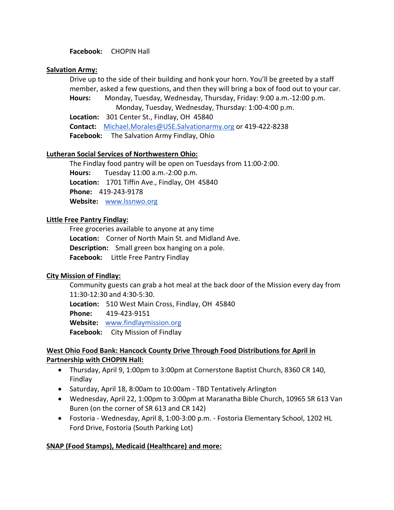**Facebook:** CHOPIN Hall

### **Salvation Army:**

Drive up to the side of their building and honk your horn. You'll be greeted by a staff member, asked a few questions, and then they will bring a box of food out to your car. **Hours:** Monday, Tuesday, Wednesday, Thursday, Friday: 9:00 a.m.-12:00 p.m. Monday, Tuesday, Wednesday, Thursday: 1:00-4:00 p.m. **Location:** 301 Center St., Findlay, OH 45840 **Contact:** Michael.Morales@USE.Salvationarmy.org or 419-422-8238 **Facebook:** The Salvation Army Findlay, Ohio

### **Lutheran Social Services of Northwestern Ohio:**

The Findlay food pantry will be open on Tuesdays from 11:00-2:00. **Hours:** Tuesday 11:00 a.m.-2:00 p.m. **Location:** 1701 Tiffin Ave., Findlay, OH 45840 **Phone:** 419-243-9178 **Website:** www.lssnwo.org

### **Little Free Pantry Findlay:**

Free groceries available to anyone at any time **Location:** Corner of North Main St. and Midland Ave. **Description:** Small green box hanging on a pole. **Facebook:** Little Free Pantry Findlay

### **City Mission of Findlay:**

Community guests can grab a hot meal at the back door of the Mission every day from 11:30-12:30 and 4:30-5:30.

**Location:** 510 West Main Cross, Findlay, OH 45840

**Phone:** 419-423-9151

**Website:** www.findlaymission.org

**Facebook:** City Mission of Findlay

### **West Ohio Food Bank: Hancock County Drive Through Food Distributions for April in Partnership with CHOPIN Hall:**

- Thursday, April 9, 1:00pm to 3:00pm at Cornerstone Baptist Church, 8360 CR 140, Findlay
- Saturday, April 18, 8:00am to 10:00am TBD Tentatively Arlington
- Wednesday, April 22, 1:00pm to 3:00pm at Maranatha Bible Church, 10965 SR 613 Van Buren (on the corner of SR 613 and CR 142)
- Fostoria Wednesday, April 8, 1:00-3:00 p.m. Fostoria Elementary School, 1202 HL Ford Drive, Fostoria (South Parking Lot)

### **SNAP (Food Stamps), Medicaid (Healthcare) and more:**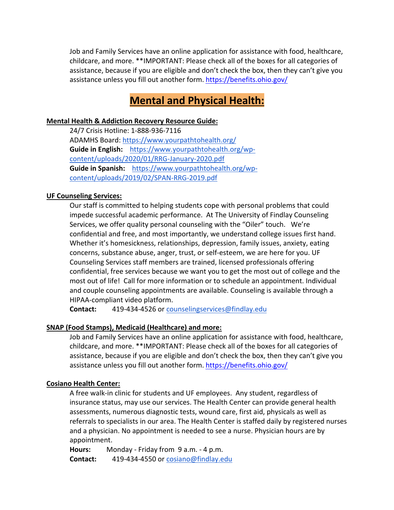Job and Family Services have an online application for assistance with food, healthcare, childcare, and more. \*\*IMPORTANT: Please check all of the boxes for all categories of assistance, because if you are eligible and don't check the box, then they can't give you assistance unless you fill out another form. https://benefits.ohio.gov/

# **Mental and Physical Health:**

### **Mental Health & Addiction Recovery Resource Guide:**

24/7 Crisis Hotline: 1-888-936-7116 ADAMHS Board: https://www.yourpathtohealth.org/ **Guide in English:** https://www.yourpathtohealth.org/wpcontent/uploads/2020/01/RRG-January-2020.pdf **Guide in Spanish:** https://www.yourpathtohealth.org/wpcontent/uploads/2019/02/SPAN-RRG-2019.pdf

### **UF Counseling Services:**

Our staff is committed to helping students cope with personal problems that could impede successful academic performance. At The University of Findlay Counseling Services, we offer quality personal counseling with the "Oiler" touch. We're confidential and free, and most importantly, we understand college issues first hand. Whether it's homesickness, relationships, depression, family issues, anxiety, eating concerns, substance abuse, anger, trust, or self-esteem, we are here for you. UF Counseling Services staff members are trained, licensed professionals offering confidential, free services because we want you to get the most out of college and the most out of life! Call for more information or to schedule an appointment. Individual and couple counseling appointments are available. Counseling is available through a HIPAA-compliant video platform.

**Contact:** 419-434-4526 or counselingservices@findlay.edu

### **SNAP (Food Stamps), Medicaid (Healthcare) and more:**

Job and Family Services have an online application for assistance with food, healthcare, childcare, and more. \*\*IMPORTANT: Please check all of the boxes for all categories of assistance, because if you are eligible and don't check the box, then they can't give you assistance unless you fill out another form. https://benefits.ohio.gov/

### **Cosiano Health Center:**

A free walk-in clinic for students and UF employees. Any student, regardless of insurance status, may use our services. The Health Center can provide general health assessments, numerous diagnostic tests, wound care, first aid, physicals as well as referrals to specialists in our area. The Health Center is staffed daily by registered nurses and a physician. No appointment is needed to see a nurse. Physician hours are by appointment.

**Hours:** Monday - Friday from 9 a.m. - 4 p.m. **Contact:** 419-434-4550 or cosiano@findlay.edu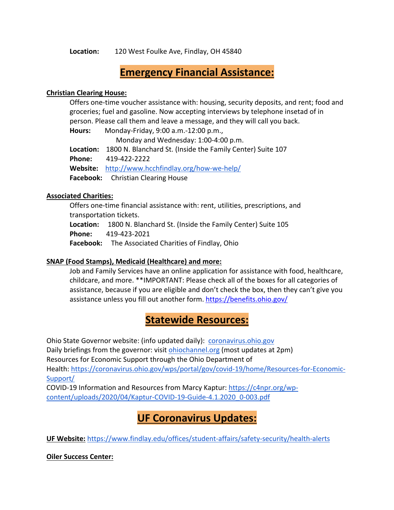**Location:** 120 West Foulke Ave, Findlay, OH 45840

# **Emergency Financial Assistance:**

### **Christian Clearing House:**

Offers one-time voucher assistance with: housing, security deposits, and rent; food and groceries; fuel and gasoline. Now accepting interviews by telephone insetad of in person. Please call them and leave a message, and they will call you back.

**Hours:** Monday-Friday, 9:00 a.m.-12:00 p.m., Monday and Wednesday: 1:00-4:00 p.m. **Location:** 1800 N. Blanchard St. (Inside the Family Center) Suite 107 **Phone:** 419-422-2222 **Website:** http://www.hcchfindlay.org/how-we-help/ **Facebook:** Christian Clearing House

### **Associated Charities:**

Offers one-time financial assistance with: rent, utilities, prescriptions, and transportation tickets.

**Location:** 1800 N. Blanchard St. (Inside the Family Center) Suite 105 **Phone:** 419-423-2021

**Facebook:** The Associated Charities of Findlay, Ohio

### **SNAP (Food Stamps), Medicaid (Healthcare) and more:**

Job and Family Services have an online application for assistance with food, healthcare, childcare, and more. \*\*IMPORTANT: Please check all of the boxes for all categories of assistance, because if you are eligible and don't check the box, then they can't give you assistance unless you fill out another form. https://benefits.ohio.gov/

# **Statewide Resources:**

Ohio State Governor website: (info updated daily): coronavirus.ohio.gov Daily briefings from the governor: visit ohiochannel.org (most updates at 2pm) Resources for Economic Support through the Ohio Department of Health: https://coronavirus.ohio.gov/wps/portal/gov/covid-19/home/Resources-for-Economic-Support/

COVID-19 Information and Resources from Marcy Kaptur: https://c4npr.org/wpcontent/uploads/2020/04/Kaptur-COVID-19-Guide-4.1.2020\_0-003.pdf

# **UF Coronavirus Updates:**

**UF Website:** https://www.findlay.edu/offices/student-affairs/safety-security/health-alerts

**Oiler Success Center:**